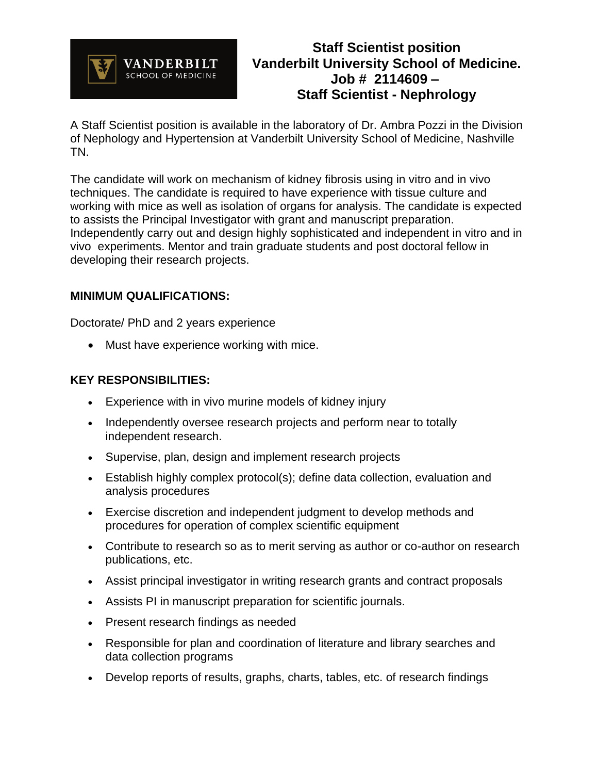

## **Staff Scientist position Vanderbilt University School of Medicine. Job # 2114609 – Staff Scientist - Nephrology**

A Staff Scientist position is available in the laboratory of Dr. Ambra Pozzi in the Division of Nephology and Hypertension at Vanderbilt University School of Medicine, Nashville TN.

The candidate will work on mechanism of kidney fibrosis using in vitro and in vivo techniques. The candidate is required to have experience with tissue culture and working with mice as well as isolation of organs for analysis. The candidate is expected to assists the Principal Investigator with grant and manuscript preparation. Independently carry out and design highly sophisticated and independent in vitro and in vivo experiments. Mentor and train graduate students and post doctoral fellow in developing their research projects.

## **MINIMUM QUALIFICATIONS:**

Doctorate/ PhD and 2 years experience

• Must have experience working with mice.

## **KEY RESPONSIBILITIES:**

- Experience with in vivo murine models of kidney injury
- Independently oversee research projects and perform near to totally independent research.
- Supervise, plan, design and implement research projects
- Establish highly complex protocol(s); define data collection, evaluation and analysis procedures
- Exercise discretion and independent judgment to develop methods and procedures for operation of complex scientific equipment
- Contribute to research so as to merit serving as author or co-author on research publications, etc.
- Assist principal investigator in writing research grants and contract proposals
- Assists PI in manuscript preparation for scientific journals.
- Present research findings as needed
- Responsible for plan and coordination of literature and library searches and data collection programs
- Develop reports of results, graphs, charts, tables, etc. of research findings